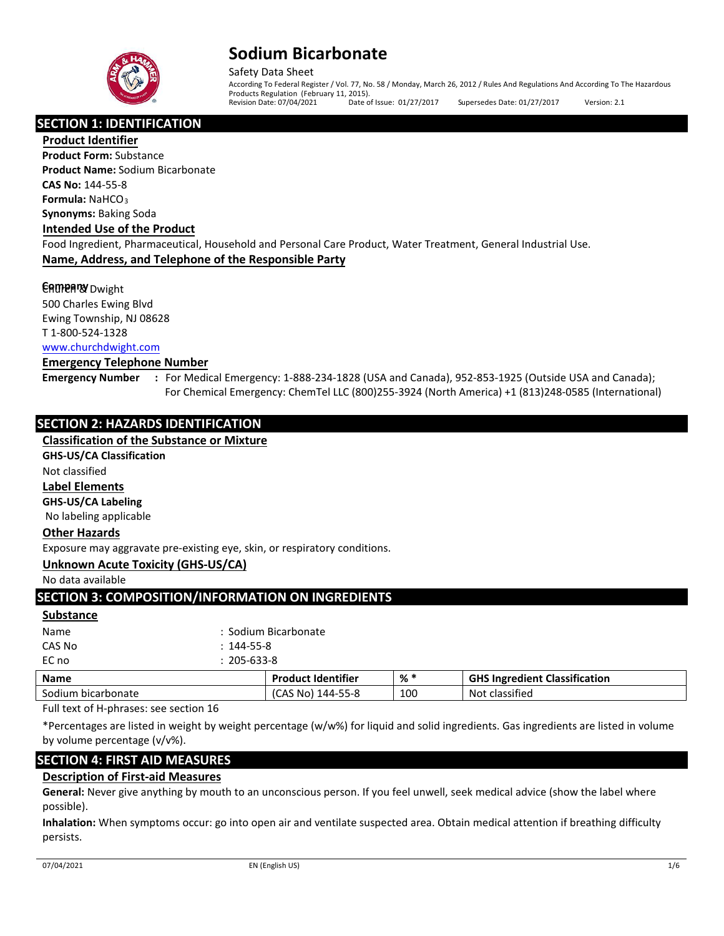

Safety Data Sheet According To Federal Register / Vol. 77, No. 58 / Monday, March 26, 2012 / Rules And Regulations And According To The Hazardous Products Regulation (February 11, 2015).<br>Revision Date: 07/04/2021 Date of Issue: 01/27/2017 Supersedes Date: 01/27/2017 Version: 2.1

## **SECTION 1: IDENTIFICATION**

**Product Identifier**

**Product Form:** Substance **Product Name:** Sodium Bicarbonate **CAS No:** 144-55-8 **Formula:** NaHCO<sup>3</sup> **Synonyms:** Baking Soda

#### **Intended Use of the Product**

Food Ingredient, Pharmaceutical, Household and Personal Care Product, Water Treatment, General Industrial Use. **Name, Address, and Telephone of the Responsible Party**

## **CAMPARY** Dwight

500 Charles Ewing Blvd Ewing Township, NJ 08628 T 1-800-524-1328 [www.churchdwight.com](http://www.churchdwight.com/)

#### **Emergency Telephone Number**

**Emergency Number :** For Medical Emergency: 1-888-234-1828 (USA and Canada), 952-853-1925 (Outside USA and Canada); For Chemical Emergency: ChemTel LLC (800)255-3924 (North America) +1 (813)248-0585 (International)

## **SECTION 2: HAZARDS IDENTIFICATION**

## **Classification of the Substance or Mixture**

**GHS-US/CA Classification**

Not classified

## **Label Elements**

**GHS-US/CA Labeling** 

No labeling applicable

### **Other Hazards**

Exposure may aggravate pre-existing eye, skin, or respiratory conditions.

### **Unknown Acute Toxicity (GHS-US/CA)**

No data available

## **SECTION 3: COMPOSITION/INFORMATION ON INGREDIENTS**

**Substance**

| <b>Name</b> | : Sodium Bicarbonate |
|-------------|----------------------|
| CAS No      | $: 144 - 55 - 8$     |
| EC no       | $: 205 - 633 - 8$    |

| <b>Name</b>   | <b>Product Identifier</b> | _% ' | <b>GHS Ingredient Classification</b> |
|---------------|---------------------------|------|--------------------------------------|
| Sodium        | 144-55-8                  | 100  | classified                           |
| bicarbonate ا | .CAS No)                  |      | Not                                  |

Full text of H-phrases: see section 16

\*Percentages are listed in weight by weight percentage (w/w%) for liquid and solid ingredients. Gas ingredients are listed in volume by volume percentage (v/v%).

## **SECTION 4: FIRST AID MEASURES**

### **Description of First-aid Measures**

**General:** Never give anything by mouth to an unconscious person. If you feel unwell, seek medical advice (show the label where possible).

**Inhalation:** When symptoms occur: go into open air and ventilate suspected area. Obtain medical attention if breathing difficulty persists.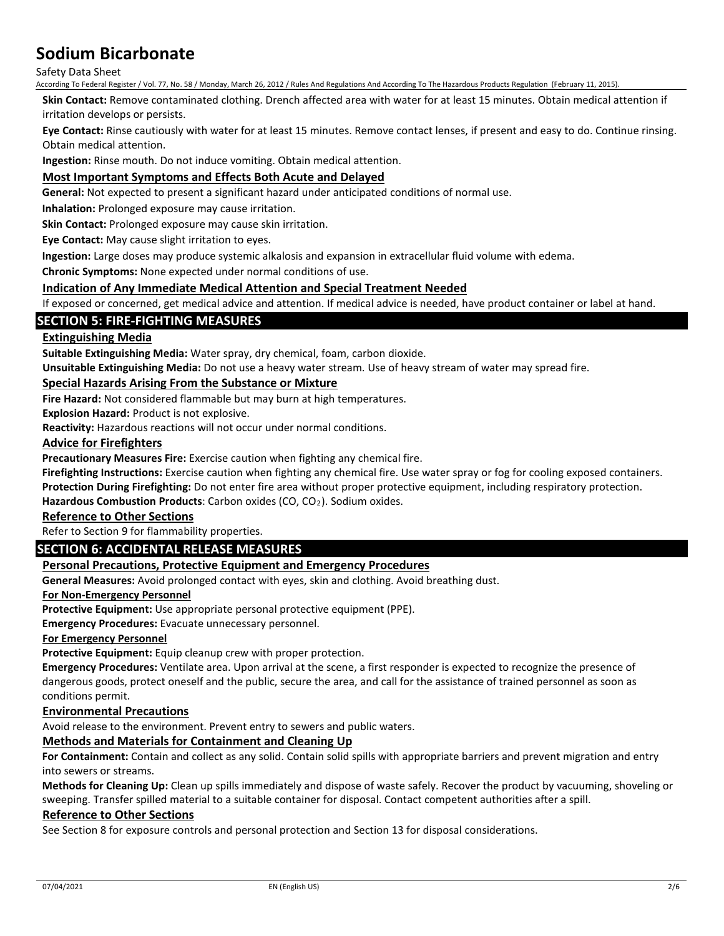#### Safety Data Sheet

According To Federal Register / Vol. 77, No. 58 / Monday, March 26, 2012 / Rules And Regulations And According To The Hazardous Products Regulation (February 11, 2015).

**Skin Contact:** Remove contaminated clothing. Drench affected area with water for at least 15 minutes. Obtain medical attention if irritation develops or persists.

**Eye Contact:** Rinse cautiously with water for at least 15 minutes. Remove contact lenses, if present and easy to do. Continue rinsing. Obtain medical attention.

**Ingestion:** Rinse mouth. Do not induce vomiting. Obtain medical attention.

## **Most Important Symptoms and Effects Both Acute and Delayed**

**General:** Not expected to present a significant hazard under anticipated conditions of normal use.

**Inhalation:** Prolonged exposure may cause irritation.

**Skin Contact:** Prolonged exposure may cause skin irritation.

**Eye Contact:** May cause slight irritation to eyes.

**Ingestion:** Large doses may produce systemic alkalosis and expansion in extracellular fluid volume with edema.

**Chronic Symptoms:** None expected under normal conditions of use.

#### **Indication of Any Immediate Medical Attention and Special Treatment Needed**

If exposed or concerned, get medical advice and attention. If medical advice is needed, have product container or label at hand.

### **SECTION 5: FIRE-FIGHTING MEASURES**

#### **Extinguishing Media**

**Suitable Extinguishing Media:** Water spray, dry chemical, foam, carbon dioxide.

**Unsuitable Extinguishing Media:** Do not use a heavy water stream. Use of heavy stream of water may spread fire.

## **Special Hazards Arising From the Substance or Mixture**

**Fire Hazard:** Not considered flammable but may burn at high temperatures.

**Explosion Hazard:** Product is not explosive.

**Reactivity:** Hazardous reactions will not occur under normal conditions.

#### **Advice for Firefighters**

**Precautionary Measures Fire:** Exercise caution when fighting any chemical fire.

**Firefighting Instructions:** Exercise caution when fighting any chemical fire. Use water spray or fog for cooling exposed containers.

**Protection During Firefighting:** Do not enter fire area without proper protective equipment, including respiratory protection.

Hazardous Combustion Products: Carbon oxides (CO, CO<sub>2</sub>). Sodium oxides.

## **Reference to Other Sections**

Refer to Section 9 for flammability properties.

## **SECTION 6: ACCIDENTAL RELEASE MEASURES**

#### **Personal Precautions, Protective Equipment and Emergency Procedures**

**General Measures:** Avoid prolonged contact with eyes, skin and clothing. Avoid breathing dust.

#### **For Non-Emergency Personnel**

**Protective Equipment:** Use appropriate personal protective equipment (PPE).

**Emergency Procedures:** Evacuate unnecessary personnel.

#### **For Emergency Personnel**

**Protective Equipment:** Equip cleanup crew with proper protection.

**Emergency Procedures:** Ventilate area. Upon arrival at the scene, a first responder is expected to recognize the presence of dangerous goods, protect oneself and the public, secure the area, and call for the assistance of trained personnel as soon as conditions permit.

#### **Environmental Precautions**

Avoid release to the environment. Prevent entry to sewers and public waters.

## **Methods and Materials for Containment and Cleaning Up**

**For Containment:** Contain and collect as any solid. Contain solid spills with appropriate barriers and prevent migration and entry into sewers or streams.

**Methods for Cleaning Up:** Clean up spills immediately and dispose of waste safely. Recover the product by vacuuming, shoveling or sweeping. Transfer spilled material to a suitable container for disposal. Contact competent authorities after a spill.

#### **Reference to Other Sections**

See Section 8 for exposure controls and personal protection and Section 13 for disposal considerations.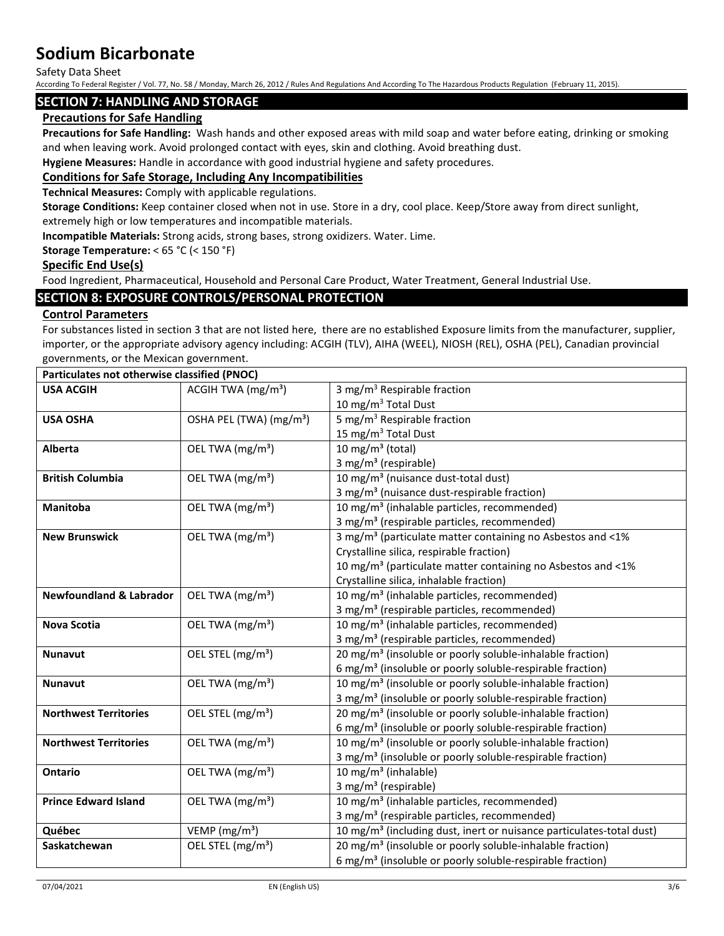Safety Data Sheet

According To Federal Register / Vol. 77, No. 58 / Monday, March 26, 2012 / Rules And Regulations And According To The Hazardous Products Regulation (February 11, 2015).

## **SECTION 7: HANDLING AND STORAGE**

## **Precautions for Safe Handling**

**Precautions for Safe Handling:** Wash hands and other exposed areas with mild soap and water before eating, drinking or smoking and when leaving work. Avoid prolonged contact with eyes, skin and clothing. Avoid breathing dust.

**Hygiene Measures:** Handle in accordance with good industrial hygiene and safety procedures.

## **Conditions for Safe Storage, Including Any Incompatibilities**

**Technical Measures:** Comply with applicable regulations.

**Storage Conditions:** Keep container closed when not in use. Store in a dry, cool place. Keep/Store away from direct sunlight, extremely high or low temperatures and incompatible materials.

**Incompatible Materials:** Strong acids, strong bases, strong oxidizers. Water. Lime.

#### **Storage Temperature:** < 65 °C (< 150 °F)

#### **Specific End Use(s)**

Food Ingredient, Pharmaceutical, Household and Personal Care Product, Water Treatment, General Industrial Use.

## **SECTION 8: EXPOSURE CONTROLS/PERSONAL PROTECTION**

### **Control Parameters**

For substances listed in section 3 that are not listed here, there are no established Exposure limits from the manufacturer, supplier, importer, or the appropriate advisory agency including: ACGIH (TLV), AIHA (WEEL), NIOSH (REL), OSHA (PEL), Canadian provincial governments, or the Mexican government.

| Particulates not otherwise classified (PNOC) |                                             |                                                                                  |
|----------------------------------------------|---------------------------------------------|----------------------------------------------------------------------------------|
| <b>USA ACGIH</b>                             | ACGIH TWA $(mg/m3)$                         | 3 mg/m <sup>3</sup> Respirable fraction                                          |
|                                              |                                             | 10 mg/m $3$ Total Dust                                                           |
| <b>USA OSHA</b>                              | OSHA PEL (TWA) (mg/m <sup>3</sup> )         | 5 mg/m <sup>3</sup> Respirable fraction                                          |
|                                              |                                             | 15 mg/m <sup>3</sup> Total Dust                                                  |
| <b>Alberta</b>                               | OEL TWA (mg/m <sup>3</sup> )                | 10 mg/m $3$ (total)                                                              |
|                                              |                                             | 3 mg/m <sup>3</sup> (respirable)                                                 |
| <b>British Columbia</b>                      | OEL TWA (mg/m <sup>3</sup> )                | 10 mg/m <sup>3</sup> (nuisance dust-total dust)                                  |
|                                              |                                             | 3 mg/m <sup>3</sup> (nuisance dust-respirable fraction)                          |
| Manitoba                                     | OEL TWA (mg/m <sup>3</sup> )                | 10 mg/m <sup>3</sup> (inhalable particles, recommended)                          |
|                                              |                                             | 3 mg/m <sup>3</sup> (respirable particles, recommended)                          |
| <b>New Brunswick</b>                         | OEL TWA (mg/m <sup>3</sup> )                | 3 mg/m <sup>3</sup> (particulate matter containing no Asbestos and <1%           |
|                                              |                                             | Crystalline silica, respirable fraction)                                         |
|                                              |                                             | 10 mg/m <sup>3</sup> (particulate matter containing no Asbestos and <1%          |
|                                              |                                             | Crystalline silica, inhalable fraction)                                          |
| <b>Newfoundland &amp; Labrador</b>           | OEL TWA (mg/m <sup>3</sup> )                | 10 mg/m <sup>3</sup> (inhalable particles, recommended)                          |
|                                              |                                             | 3 mg/m <sup>3</sup> (respirable particles, recommended)                          |
| Nova Scotia                                  | OEL TWA (mg/m <sup>3</sup> )                | 10 mg/m <sup>3</sup> (inhalable particles, recommended)                          |
|                                              |                                             | 3 mg/m <sup>3</sup> (respirable particles, recommended)                          |
| <b>Nunavut</b>                               | OEL STEL (mg/m <sup>3</sup> )               | 20 mg/m <sup>3</sup> (insoluble or poorly soluble-inhalable fraction)            |
|                                              |                                             | 6 mg/m <sup>3</sup> (insoluble or poorly soluble-respirable fraction)            |
| <b>Nunavut</b>                               | OEL TWA (mg/m <sup>3</sup> )                | 10 mg/m <sup>3</sup> (insoluble or poorly soluble-inhalable fraction)            |
|                                              |                                             | 3 mg/m <sup>3</sup> (insoluble or poorly soluble-respirable fraction)            |
| <b>Northwest Territories</b>                 | OEL STEL (mg/m <sup>3</sup> )               | 20 mg/m <sup>3</sup> (insoluble or poorly soluble-inhalable fraction)            |
|                                              |                                             | 6 mg/m <sup>3</sup> (insoluble or poorly soluble-respirable fraction)            |
| <b>Northwest Territories</b>                 | OEL TWA (mg/m <sup>3</sup> )                | 10 mg/m <sup>3</sup> (insoluble or poorly soluble-inhalable fraction)            |
|                                              |                                             | 3 mg/m <sup>3</sup> (insoluble or poorly soluble-respirable fraction)            |
| <b>Ontario</b>                               | OEL TWA (mg/m <sup>3</sup> )                | 10 mg/m <sup>3</sup> (inhalable)                                                 |
|                                              |                                             | 3 mg/m <sup>3</sup> (respirable)                                                 |
| <b>Prince Edward Island</b>                  | OEL TWA (mg/m <sup>3</sup> )                | 10 mg/m <sup>3</sup> (inhalable particles, recommended)                          |
|                                              |                                             | 3 mg/m <sup>3</sup> (respirable particles, recommended)                          |
| Québec                                       | VEMP ( $mg/m3$ )                            | 10 mg/m <sup>3</sup> (including dust, inert or nuisance particulates-total dust) |
| Saskatchewan                                 | $\overline{OE}$ L STEL (mg/m <sup>3</sup> ) | 20 mg/m <sup>3</sup> (insoluble or poorly soluble-inhalable fraction)            |
|                                              |                                             | 6 mg/m <sup>3</sup> (insoluble or poorly soluble-respirable fraction)            |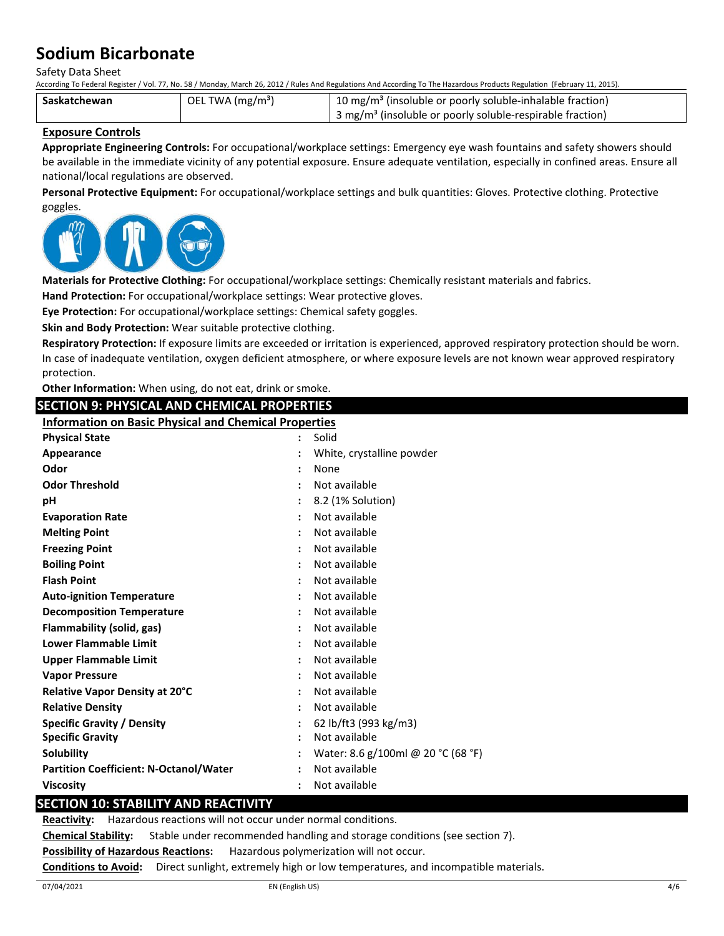Safety Data Sheet

According To Federal Register / Vol. 77, No. 58 / Monday, March 26, 2012 / Rules And Regulations And According To The Hazardous Products Regulation (February 11, 2015).

| Saskatchewan | OEL TWA (mg/m <sup>3</sup> ) | <sup>1</sup> 10 mg/m <sup>3</sup> (insoluble or poorly soluble-inhalable fraction)  |
|--------------|------------------------------|-------------------------------------------------------------------------------------|
|              |                              | $\frac{1}{2}$ 3 mg/m <sup>3</sup> (insoluble or poorly soluble-respirable fraction) |

#### **Exposure Controls**

**Appropriate Engineering Controls:** For occupational/workplace settings: Emergency eye wash fountains and safety showers should be available in the immediate vicinity of any potential exposure. Ensure adequate ventilation, especially in confined areas. Ensure all national/local regulations are observed.

**Personal Protective Equipment:** For occupational/workplace settings and bulk quantities: Gloves. Protective clothing. Protective goggles.



**Materials for Protective Clothing:** For occupational/workplace settings: Chemically resistant materials and fabrics.

**Hand Protection:** For occupational/workplace settings: Wear protective gloves.

**Eye Protection:** For occupational/workplace settings: Chemical safety goggles.

**Skin and Body Protection:** Wear suitable protective clothing.

**Respiratory Protection:** If exposure limits are exceeded or irritation is experienced, approved respiratory protection should be worn. In case of inadequate ventilation, oxygen deficient atmosphere, or where exposure levels are not known wear approved respiratory protection.

**Other Information:** When using, do not eat, drink or smoke.

**SECTION 9: PHYSICAL AND CHEMICAL PROPERTIES**

| <b>SECTION 9: PHYSICAL AND CHEMICAL PROPERTIES</b>           |   |                                    |
|--------------------------------------------------------------|---|------------------------------------|
| <b>Information on Basic Physical and Chemical Properties</b> |   |                                    |
| <b>Physical State</b>                                        |   | Solid                              |
| Appearance                                                   |   | White, crystalline powder          |
| Odor                                                         |   | None                               |
| <b>Odor Threshold</b>                                        |   | Not available                      |
| рH                                                           |   | 8.2 (1% Solution)                  |
| <b>Evaporation Rate</b>                                      |   | Not available                      |
| <b>Melting Point</b>                                         |   | Not available                      |
| <b>Freezing Point</b>                                        |   | Not available                      |
| <b>Boiling Point</b>                                         |   | Not available                      |
| <b>Flash Point</b>                                           |   | Not available                      |
| <b>Auto-ignition Temperature</b>                             |   | Not available                      |
| <b>Decomposition Temperature</b>                             |   | Not available                      |
| Flammability (solid, gas)                                    |   | Not available                      |
| <b>Lower Flammable Limit</b>                                 |   | Not available                      |
| <b>Upper Flammable Limit</b>                                 |   | Not available                      |
| <b>Vapor Pressure</b>                                        |   | Not available                      |
| <b>Relative Vapor Density at 20°C</b>                        |   | Not available                      |
| <b>Relative Density</b>                                      |   | Not available                      |
| <b>Specific Gravity / Density</b>                            | ÷ | 62 lb/ft3 (993 kg/m3)              |
| <b>Specific Gravity</b>                                      |   | Not available                      |
| <b>Solubility</b>                                            |   | Water: 8.6 g/100ml @ 20 °C (68 °F) |
| <b>Partition Coefficient: N-Octanol/Water</b>                |   | Not available                      |
| <b>Viscosity</b>                                             |   | Not available                      |

## **SECTION 10: STABILITY AND REACTIVITY**

**Reactivity:** Hazardous reactions will not occur under normal conditions.

**Chemical Stability:** Stable under recommended handling and storage conditions (see section 7).

**Possibility of Hazardous Reactions:** Hazardous polymerization will not occur.

**Conditions to Avoid:** Direct sunlight, extremely high or low temperatures, and incompatible materials.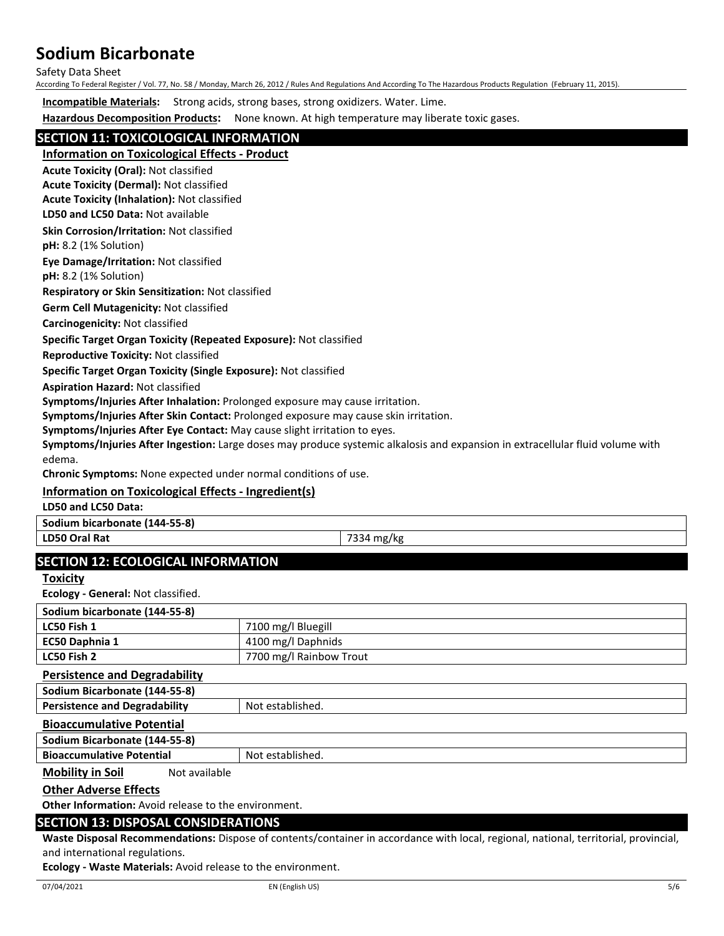Safety Data Sheet

According To Federal Register / Vol. 77, No. 58 / Monday, March 26, 2012 / Rules And Regulations And According To The Hazardous Products Regulation (February 11, 2015).

**Incompatible Materials:** Strong acids, strong bases, strong oxidizers. Water. Lime.

**Hazardous Decomposition Products:** None known. At high temperature may liberate toxic gases.

## **SECTION 11: TOXICOLOGICAL INFORMATION**

**Information on Toxicological Effects - Product**

**Acute Toxicity (Oral):** Not classified

**Acute Toxicity (Dermal):** Not classified **Acute Toxicity (Inhalation):** Not classified

**LD50 and LC50 Data:** Not available

**Skin Corrosion/Irritation:** Not classified

**pH:** 8.2 (1% Solution)

**Eye Damage/Irritation:** Not classified

**pH:** 8.2 (1% Solution)

**Respiratory or Skin Sensitization:** Not classified

**Germ Cell Mutagenicity:** Not classified

**Carcinogenicity:** Not classified

#### **Specific Target Organ Toxicity (Repeated Exposure):** Not classified

**Reproductive Toxicity:** Not classified

**Specific Target Organ Toxicity (Single Exposure):** Not classified

**Aspiration Hazard:** Not classified

**Symptoms/Injuries After Inhalation:** Prolonged exposure may cause irritation.

**Symptoms/Injuries After Skin Contact:** Prolonged exposure may cause skin irritation.

**Symptoms/Injuries After Eye Contact:** May cause slight irritation to eyes.

**Symptoms/Injuries After Ingestion:** Large doses may produce systemic alkalosis and expansion in extracellular fluid volume with edema.

**Chronic Symptoms:** None expected under normal conditions of use.

## **Information on Toxicological Effects - Ingredient(s)**

**LD50 and LC50 Data:**

**Sodium bicarbonate (144-55-8)**

**LD50 Oral Rat** 7334 mg/kg

## **SECTION 12: ECOLOGICAL INFORMATION**

**Toxicity**

**Ecology - General:** Not classified.

| .                             |                         |
|-------------------------------|-------------------------|
| Sodium bicarbonate (144-55-8) |                         |
| LC50 Fish 1                   | 7100 mg/l Bluegill      |
| EC50 Daphnia 1                | 4100 mg/l Daphnids      |
| LC50 Fish 2                   | 7700 mg/l Rainbow Trout |
| Dorsistones and Dosradability |                         |

#### **Persistence and Degradability**

**Sodium Bicarbonate (144-55-8) Persistence and Degradability | Not established.** 

#### **Bioaccumulative Potential**

**Sodium Bicarbonate (144-55-8)**

**Bioaccumulative Potential** Not established.

**Mobility in Soil** Not available

### **Other Adverse Effects**

**Other Information:** Avoid release to the environment.

## **SECTION 13: DISPOSAL CONSIDERATIONS**

**Waste Disposal Recommendations:** Dispose of contents/container in accordance with local, regional, national, territorial, provincial, and international regulations.

**Ecology - Waste Materials:** Avoid release to the environment.